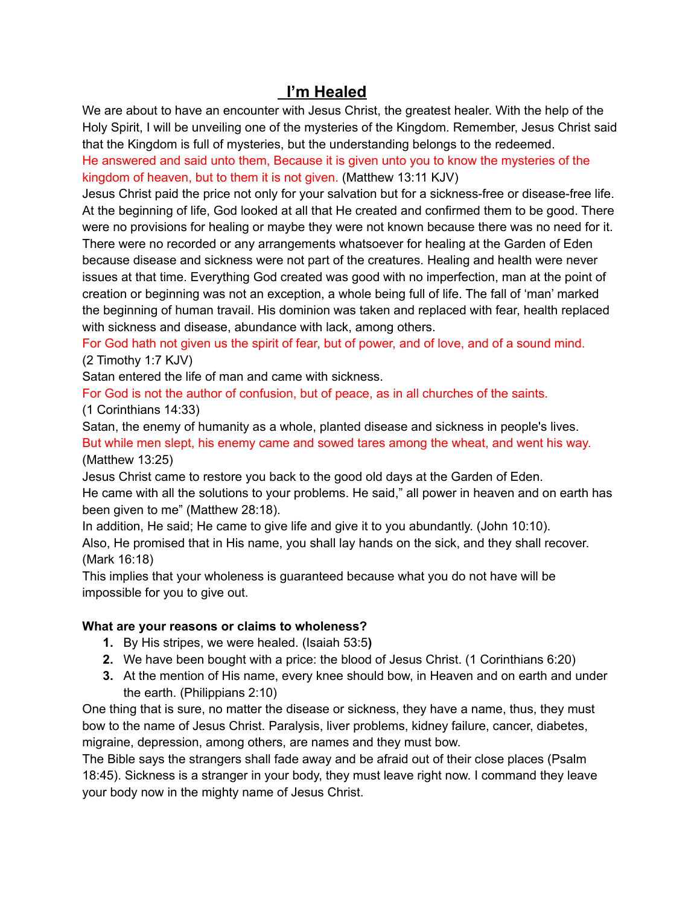# **I'm Healed**

We are about to have an encounter with Jesus Christ, the greatest healer. With the help of the Holy Spirit, I will be unveiling one of the mysteries of the Kingdom. Remember, Jesus Christ said that the Kingdom is full of mysteries, but the understanding belongs to the redeemed.

He answered and said unto them, Because it is given unto you to know the mysteries of the kingdom of heaven, but to them it is not given. (Matthew 13:11 KJV)

Jesus Christ paid the price not only for your salvation but for a sickness-free or disease-free life. At the beginning of life, God looked at all that He created and confirmed them to be good. There were no provisions for healing or maybe they were not known because there was no need for it. There were no recorded or any arrangements whatsoever for healing at the Garden of Eden because disease and sickness were not part of the creatures. Healing and health were never issues at that time. Everything God created was good with no imperfection, man at the point of creation or beginning was not an exception, a whole being full of life. The fall of 'man' marked the beginning of human travail. His dominion was taken and replaced with fear, health replaced with sickness and disease, abundance with lack, among others.

For God hath not given us the spirit of fear, but of power, and of love, and of a sound mind. (2 Timothy 1:7 KJV)

Satan entered the life of man and came with sickness.

For God is not the author of confusion, but of peace, as in all churches of the saints. (1 Corinthians 14:33)

Satan, the enemy of humanity as a whole, planted disease and sickness in people's lives.

But while men slept, his enemy came and sowed tares among the wheat, and went his way. (Matthew 13:25)

Jesus Christ came to restore you back to the good old days at the Garden of Eden.

He came with all the solutions to your problems. He said," all power in heaven and on earth has been given to me" (Matthew 28:18).

In addition, He said; He came to give life and give it to you abundantly. (John 10:10).

Also, He promised that in His name, you shall lay hands on the sick, and they shall recover. (Mark 16:18)

This implies that your wholeness is guaranteed because what you do not have will be impossible for you to give out.

## **What are your reasons or claims to wholeness?**

- **1.** By His stripes, we were healed. (Isaiah 53:5**)**
- **2.** We have been bought with a price: the blood of Jesus Christ. (1 Corinthians 6:20)
- **3.** At the mention of His name, every knee should bow, in Heaven and on earth and under the earth. (Philippians 2:10)

One thing that is sure, no matter the disease or sickness, they have a name, thus, they must bow to the name of Jesus Christ. Paralysis, liver problems, kidney failure, cancer, diabetes, migraine, depression, among others, are names and they must bow.

The Bible says the strangers shall fade away and be afraid out of their close places (Psalm 18:45). Sickness is a stranger in your body, they must leave right now. I command they leave your body now in the mighty name of Jesus Christ.